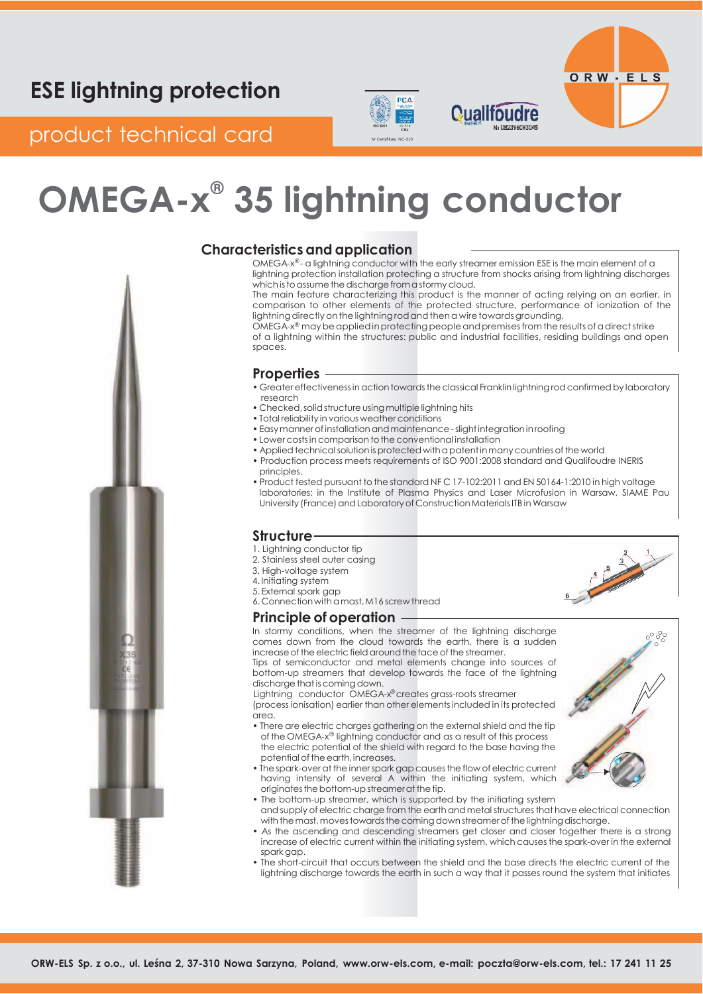# PCA



**Contract of the Contract of Contract of the Contract of Contract of Contract of Contract of Contract of Contract of Contract of Contract of Contract of Contract of Contract of Contract of Contract of Contract of Contract** 

## product technical card Networks

# **OMEGA-x ® 35 lightning conductor**



### **Characteristics and application**

OMEGA-x®- a lightning conductor with the early streamer emission ESE is the main element of a lightning protection installation protecting a structure from shocks arising from lightning discharges which is to assume the discharge from a stormy cloud.

**Qualifoudre** 

The main feature characterizing this product is the manner of acting relying on an earlier, in comparison to other elements of the protected structure, performance of ionization of the lightning directly on the lightning rod and then a wire towards grounding.

OMEGA-x® may be applied in protecting people and premises from the results of a direct strike of a lightning within the structures: public and industrial facilities, residing buildings and open spaces.

#### **Properties**

- Greater effectiveness in action towards the classical Franklin lightning rod confirmed by laboratory research
- Checked, solid structure using multiple lightning hits
- Total reliability in various weather conditions
- Easy manner of installation and maintenance slight integration in roofing
- Lower costs in comparison to the conventional installation
- Applied technical solution is protected with a patent in many countries of the world
- Production process meets requirements of ISO 9001:2008 standard and Qualifoudre INERIS principles.
- Product tested pursuant to the standard NFC 17-102:2011 and EN 50164-1:2010 in high voltage laboratories: in the Institute of Plasma Physics and Laser Microfusion in Warsaw, SIAME Pau University (France) and Laboratory of Construction Materials ITB in Warsaw

### **Structure**

- 1. Lightning conductor tip
- 2. Stainless steel outer casing
- 3. High-voltage system
- 4. Initiating system
- 5. External spark gap 6. Connection withamast,M16 screw thread

#### **Principle of operation**

In stormy conditions, when the streamer of the lightning discharge comes down from the cloud towards the earth, there is a sudden increase of the electric field around the face of the streamer.

Tips of semiconductor and metal elements change into sources of bottom-up streamers that develop towards the face of the lightning discharge that is coming down.

Lightning conductor OMEGA-x® creates grass-roots streamer (process ionisation) earlier than other elements included in its protected area.

- There are electric charges gathering on the external shield and the tip of the OMEGA-x® lightning conductor and as a result of this process the electric potential of the shield with regard to the base having the potential of the earth, increases.
- The spark-over at the innerspark gap causesthe flow of electric current having intensity of several A within the initiating system, which originates the bottom-up streamer at the tip.
- The bottom-up streamer, which is supported by the initiating system and supply of electric charge from the earth and metal structures that have electrical connection with the mast, moves towards the coming down streamer of the lightning discharge.
- As the ascending and descending streamers get closer and closer together there is a strong increase of electric current within the initiating system, which causesthe spark-over in the external spark gap.
- The short-circuit that occurs between the shield and the base directs the electric current of the lightning discharge towards the earth in such a way that it passes round the system that initiates